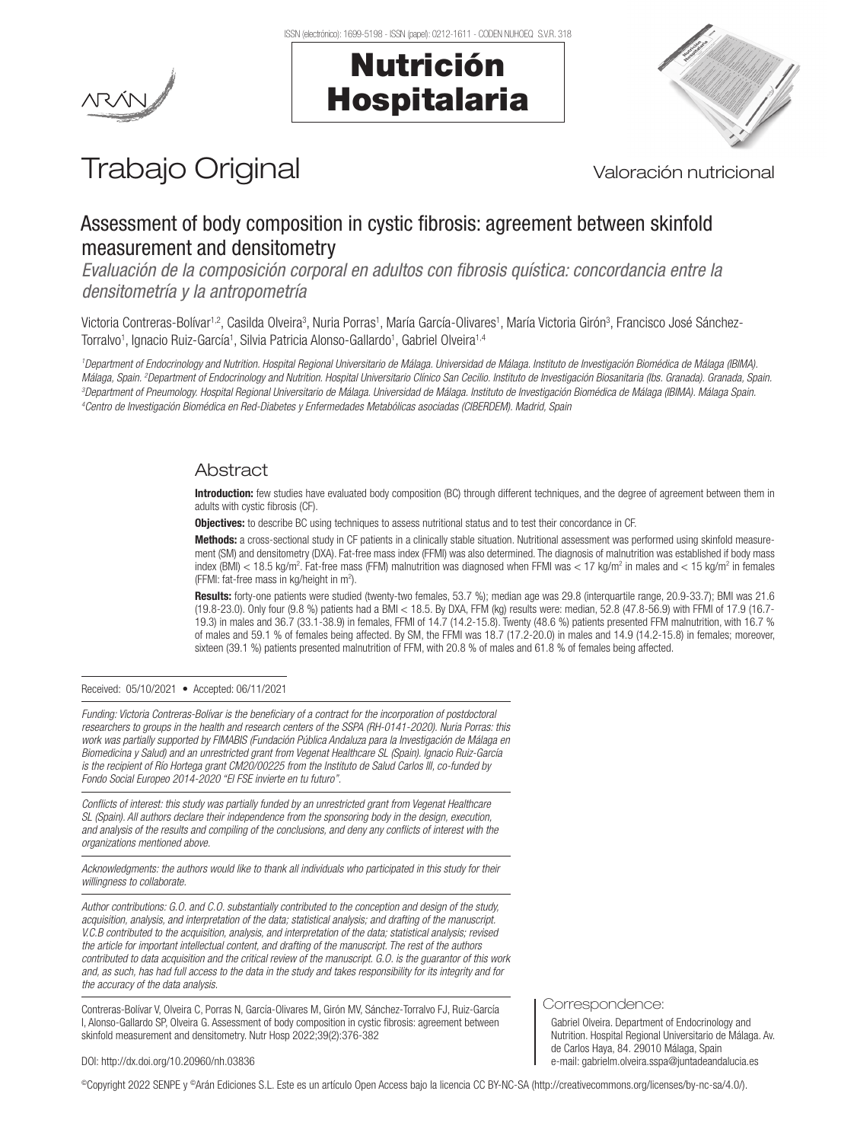



# Trabajo Original Valoración nutricional

# Assessment of body composition in cystic fibrosis: agreement between skinfold measurement and densitometry

*Evaluación de la composición corporal en adultos con fibrosis quística: concordancia entre la densitometría y la antropometría*

Victoria Contreras-Bolívar<sup>1,2</sup>, Casilda Olveira<sup>3</sup>, Nuria Porras<sup>1</sup>, María García-Olivares<sup>1</sup>, María Victoria Girón<sup>3</sup>, Francisco José Sánchez-Torralvo<sup>1</sup>, Ignacio Ruiz-García<sup>1</sup>, Silvia Patricia Alonso-Gallardo<sup>1</sup>, Gabriel Olveira<sup>1,4</sup>

<sup>1</sup>Department of Endocrinology and Nutrition. Hospital Regional Universitario de Málaga. Universidad de Málaga (Bomédica de Málaga (IBIMA). Málaga, Spain. <sup>2</sup>Department of Endocrinology and Nutrition. Hospital Universitario Clínico San Cecilio. Instituto de Investigación Biosanitaria (Ibs. Granada). Granada, Spain.<br><sup>3</sup>Department of Ppeumology Hospital Begional *Department of Pneumology. Hospital Regional Universitario de Málaga. Universidad de Málaga. Instituto de Investigación Biomédica de Málaga (IBIMA). Málaga Spain. 4 Centro de Investigación Biomédica en Red-Diabetes y Enfermedades Metabólicas asociadas (CIBERDEM). Madrid, Spain*

# Abstract

Introduction: few studies have evaluated body composition (BC) through different techniques, and the degree of agreement between them in adults with cystic fibrosis (CF).

Objectives: to describe BC using techniques to assess nutritional status and to test their concordance in CF.

Methods: a cross-sectional study in CF patients in a clinically stable situation. Nutritional assessment was performed using skinfold measurement (SM) and densitometry (DXA). Fat-free mass index (FFMI) was also determined. The diagnosis of malnutrition was established if body mass index (BMI) < 18.5 kg/m<sup>2</sup>. Fat-free mass (FFM) malnutrition was diagnosed when FFMI was < 17 kg/m<sup>2</sup> in males and < 15 kg/m<sup>2</sup> in females (FFMI: fat-free mass in kg/height in m2 ).

Results: forty-one patients were studied (twenty-two females, 53.7 %); median age was 29.8 (interquartile range, 20.9-33.7); BMI was 21.6 (19.8-23.0). Only four (9.8 %) patients had a BMI < 18.5. By DXA, FFM (kg) results were: median, 52.8 (47.8-56.9) with FFMI of 17.9 (16.7- 19.3) in males and 36.7 (33.1-38.9) in females, FFMI of 14.7 (14.2-15.8). Twenty (48.6 %) patients presented FFM malnutrition, with 16.7 % of males and 59.1 % of females being affected. By SM, the FFMI was 18.7 (17.2-20.0) in males and 14.9 (14.2-15.8) in females; moreover, sixteen (39.1 %) patients presented malnutrition of FFM, with 20.8 % of males and 61.8 % of females being affected.

Received: 05/10/2021 • Accepted: 06/11/2021

*Funding: Victoria Contreras-Bolívar is the beneficiary of a contract for the incorporation of postdoctoral researchers to groups in the health and research centers of the SSPA (RH-0141-2020). Nuria Porras: this work was partially supported by FIMABIS (Fundación Pública Andaluza para la Investigación de Málaga en Biomedicina y Salud) and an unrestricted grant from Vegenat Healthcare SL (Spain). Ignacio Ruiz-García is the recipient of Río Hortega grant CM20/00225 from the Instituto de Salud Carlos III, co-funded by Fondo Social Europeo 2014-2020 "El FSE invierte en tu futuro".*

*Conflicts of interest: this study was partially funded by an unrestricted grant from Vegenat Healthcare SL (Spain). All authors declare their independence from the sponsoring body in the design, execution, and analysis of the results and compiling of the conclusions, and deny any conflicts of interest with the organizations mentioned above.*

*Acknowledgments: the authors would like to thank all individuals who participated in this study for their willingness to collaborate.*

*Author contributions: G.O. and C.O. substantially contributed to the conception and design of the study, acquisition, analysis, and interpretation of the data; statistical analysis; and drafting of the manuscript. V.C.B contributed to the acquisition, analysis, and interpretation of the data; statistical analysis; revised the article for important intellectual content, and drafting of the manuscript. The rest of the authors contributed to data acquisition and the critical review of the manuscript. G.O. is the guarantor of this work and, as such, has had full access to the data in the study and takes responsibility for its integrity and for the accuracy of the data analysis.*

Contreras-Bolívar V, Olveira C, Porras N, García-Olivares M, Girón MV, Sánchez-Torralvo FJ, Ruiz-García I, Alonso-Gallardo SP, Olveira G. Assessment of body composition in cystic fibrosis: agreement between skinfold measurement and densitometry. Nutr Hosp 2022;39(2):376-382

Correspondence:

Gabriel Olveira. Department of Endocrinology and Nutrition. Hospital Regional Universitario de Málaga. Av. de Carlos Haya, 84. 29010 Málaga, Spain e-mail: gabrielm.olveira.sspa@juntadeandalucia.es

DOI: http://dx.doi.org/10.20960/nh.03836

©Copyright 2022 SENPE y ©Arán Ediciones S.L. Este es un artículo Open Access bajo la licencia CC BY-NC-SA (http://creativecommons.org/licenses/by-nc-sa/4.0/).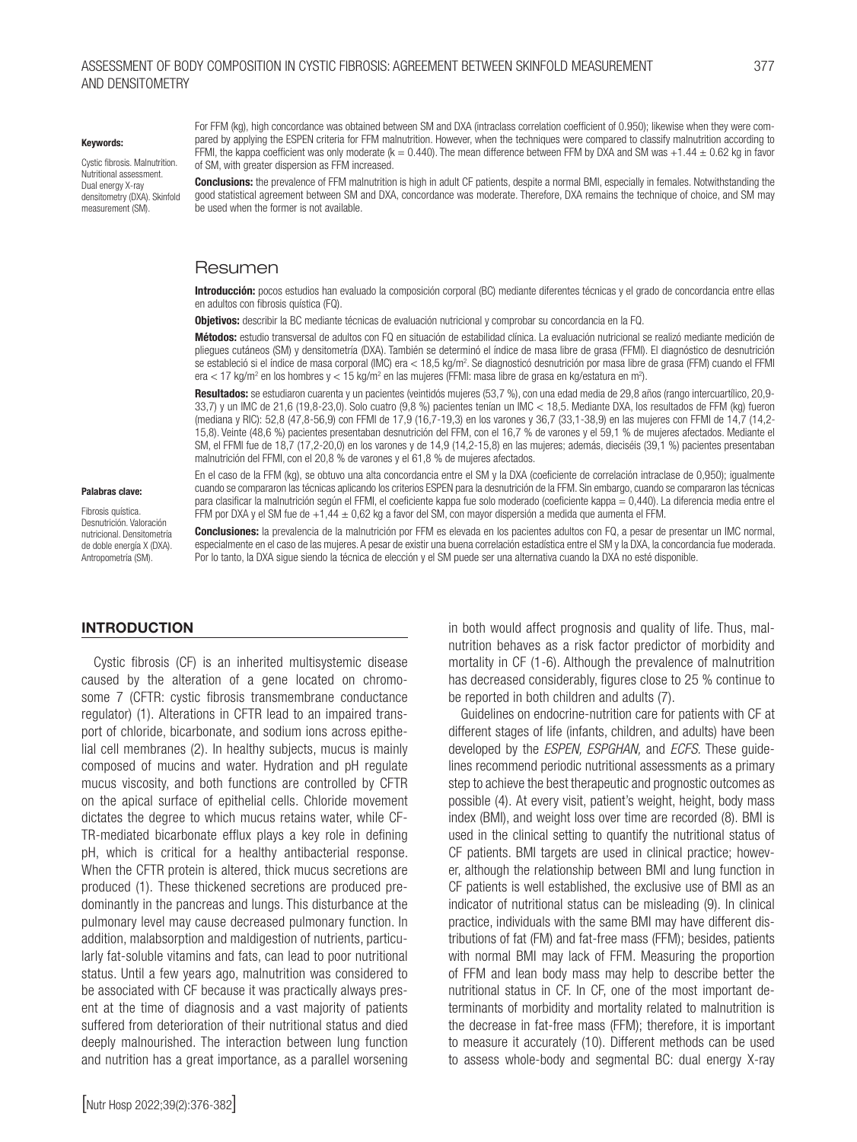#### Assessment of body composition in cystic fibrosis: agreement between skinfold measurement 377 and densitometry

#### Keywords:

Cystic fibrosis. Malnutrition. Nutritional assessment. Dual energy X-ray densitometry (DXA). Skinfold measurement (SM).

For FFM (kg), high concordance was obtained between SM and DXA (intraclass correlation coefficient of 0.950); likewise when they were compared by applying the ESPEN criteria for FFM malnutrition. However, when the techniques were compared to classify malnutrition according to FFMI, the kappa coefficient was only moderate (k = 0.440). The mean difference between FFM by DXA and SM was +1.44  $\pm$  0.62 kg in favor of SM, with greater dispersion as FFM increased.

**Conclusions:** the prevalence of FFM malnutrition is high in adult CF patients, despite a normal BMI, especially in females. Notwithstanding the good statistical agreement between SM and DXA, concordance was moderate. Therefore, DXA remains the technique of choice, and SM may be used when the former is not available.

#### Resumen

Introducción: pocos estudios han evaluado la composición corporal (BC) mediante diferentes técnicas y el grado de concordancia entre ellas en adultos con fibrosis quística (FQ).

Obietivos: describir la BC mediante técnicas de evaluación nutricional y comprobar su concordancia en la FQ.

Métodos: estudio transversal de adultos con FQ en situación de estabilidad clínica. La evaluación nutricional se realizó mediante medición de pliegues cutáneos (SM) y densitometría (DXA). También se determinó el índice de masa libre de grasa (FFMI). El diagnóstico de desnutrición se estableció si el índice de masa corporal (IMC) era < 18,5 kg/m<sup>2</sup>. Se diagnosticó desnutrición por masa libre de grasa (FFM) cuando el FFMI era < 17 kg/m² en los hombres y < 15 kg/m² en las mujeres (FFMI: masa libre de grasa en kg/estatura en m²).

Resultados: se estudiaron cuarenta y un pacientes (veintidós mujeres (53,7 %), con una edad media de 29,8 años (rango intercuartílico, 20,9-33,7) y un IMC de 21,6 (19,8-23,0). Solo cuatro (9,8 %) pacientes tenían un IMC < 18,5. Mediante DXA, los resultados de FFM (kg) fueron (mediana y RIC): 52,8 (47,8-56,9) con FFMI de 17,9 (16,7-19,3) en los varones y 36,7 (33,1-38,9) en las mujeres con FFMI de 14,7 (14,2- 15,8). Veinte (48,6 %) pacientes presentaban desnutrición del FFM, con el 16,7 % de varones y el 59,1 % de mujeres afectados. Mediante el SM, el FFMI fue de 18,7 (17,2-20,0) en los varones y de 14,9 (14,2-15,8) en las mujeres; además, dieciséis (39,1 %) pacientes presentaban malnutrición del FFMI, con el 20,8 % de varones y el 61,8 % de mujeres afectados.

En el caso de la FFM (kg), se obtuvo una alta concordancia entre el SM y la DXA (coeficiente de correlación intraclase de 0,950); igualmente cuando se compararon las técnicas aplicando los criterios ESPEN para la desnutrición de la FFM. Sin embargo, cuando se compararon las técnicas para clasificar la malnutrición según el FFMI, el coeficiente kappa fue solo moderado (coeficiente kappa = 0,440). La diferencia media entre el

#### Palabras clave:

Fibrosis quística. Desnutrición. Valoración nutricional. Densitometría de doble energía X (DXA). Antropometría (SM).

FFM por DXA y el SM fue de +1,44 ± 0,62 kg a favor del SM, con mayor dispersión a medida que aumenta el FFM. Conclusiones: la prevalencia de la malnutrición por FFM es elevada en los pacientes adultos con FQ, a pesar de presentar un IMC normal, especialmente en el caso de las mujeres. A pesar de existir una buena correlación estadística entre el SM y la DXA, la concordancia fue moderada. Por lo tanto, la DXA sigue siendo la técnica de elección y el SM puede ser una alternativa cuando la DXA no esté disponible.

#### INTRODUCTION

Cystic fibrosis (CF) is an inherited multisystemic disease caused by the alteration of a gene located on chromosome 7 (CFTR: cystic fibrosis transmembrane conductance regulator) (1). Alterations in CFTR lead to an impaired transport of chloride, bicarbonate, and sodium ions across epithelial cell membranes (2). In healthy subjects, mucus is mainly composed of mucins and water. Hydration and pH regulate mucus viscosity, and both functions are controlled by CFTR on the apical surface of epithelial cells. Chloride movement dictates the degree to which mucus retains water, while CF-TR-mediated bicarbonate efflux plays a key role in defining pH, which is critical for a healthy antibacterial response. When the CFTR protein is altered, thick mucus secretions are produced (1). These thickened secretions are produced predominantly in the pancreas and lungs. This disturbance at the pulmonary level may cause decreased pulmonary function. In addition, malabsorption and maldigestion of nutrients, particularly fat-soluble vitamins and fats, can lead to poor nutritional status. Until a few years ago, malnutrition was considered to be associated with CF because it was practically always present at the time of diagnosis and a vast majority of patients suffered from deterioration of their nutritional status and died deeply malnourished. The interaction between lung function and nutrition has a great importance, as a parallel worsening

[Nutr Hosp 2022;39(2):376-382]

in both would affect prognosis and quality of life. Thus, malnutrition behaves as a risk factor predictor of morbidity and mortality in CF (1-6). Although the prevalence of malnutrition has decreased considerably, figures close to 25 % continue to be reported in both children and adults (7).

Guidelines on endocrine-nutrition care for patients with CF at different stages of life (infants, children, and adults) have been developed by the *ESPEN, ESPGHAN,* and *ECFS.* These guidelines recommend periodic nutritional assessments as a primary step to achieve the best therapeutic and prognostic outcomes as possible (4). At every visit, patient's weight, height, body mass index (BMI), and weight loss over time are recorded (8). BMI is used in the clinical setting to quantify the nutritional status of CF patients. BMI targets are used in clinical practice; however, although the relationship between BMI and lung function in CF patients is well established, the exclusive use of BMI as an indicator of nutritional status can be misleading (9). In clinical practice, individuals with the same BMI may have different distributions of fat (FM) and fat-free mass (FFM); besides, patients with normal BMI may lack of FFM. Measuring the proportion of FFM and lean body mass may help to describe better the nutritional status in CF. In CF, one of the most important determinants of morbidity and mortality related to malnutrition is the decrease in fat-free mass (FFM); therefore, it is important to measure it accurately (10). Different methods can be used to assess whole-body and segmental BC: dual energy X-ray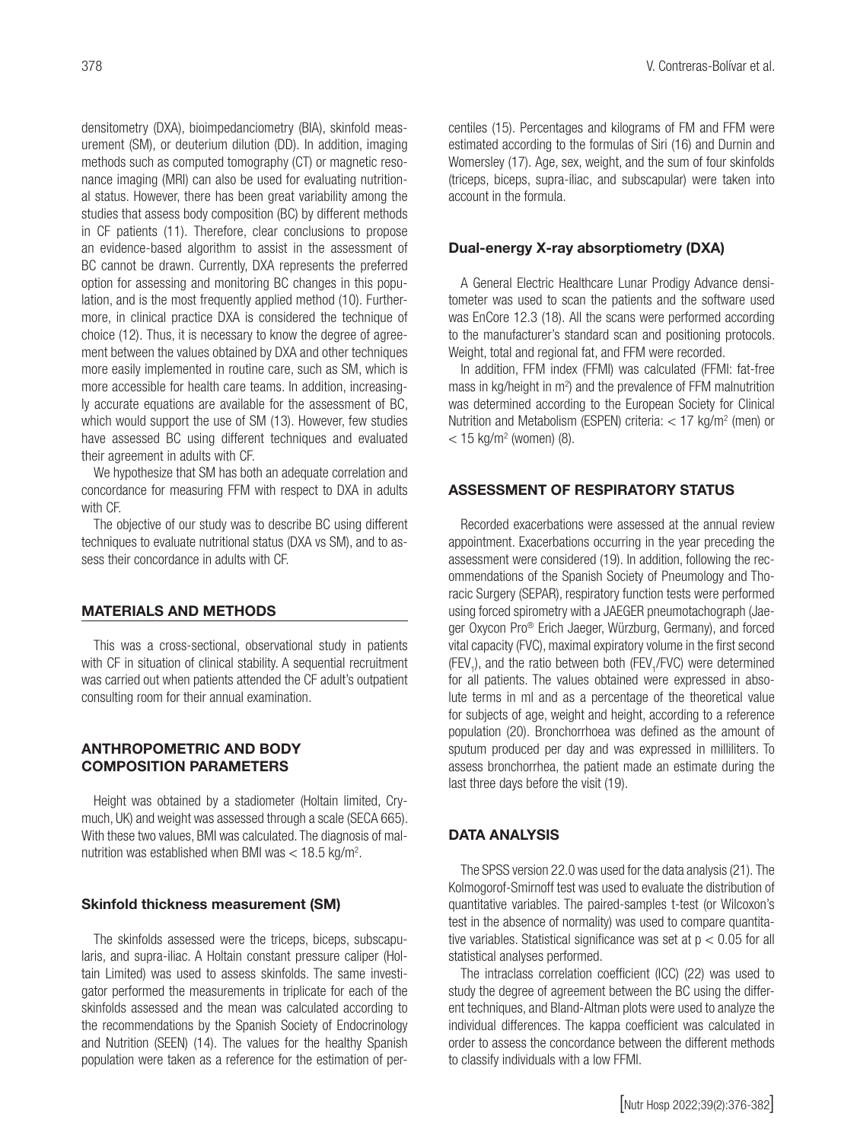densitometry (DXA), bioimpedanciometry (BIA), skinfold measurement (SM), or deuterium dilution (DD). In addition, imaging methods such as computed tomography (CT) or magnetic resonance imaging (MRI) can also be used for evaluating nutritional status. However, there has been great variability among the studies that assess body composition (BC) by different methods in CF patients (11). Therefore, clear conclusions to propose an evidence-based algorithm to assist in the assessment of BC cannot be drawn. Currently, DXA represents the preferred option for assessing and monitoring BC changes in this population, and is the most frequently applied method (10). Furthermore, in clinical practice DXA is considered the technique of choice (12). Thus, it is necessary to know the degree of agreement between the values obtained by DXA and other techniques more easily implemented in routine care, such as SM, which is more accessible for health care teams. In addition, increasingly accurate equations are available for the assessment of BC, which would support the use of SM (13). However, few studies have assessed BC using different techniques and evaluated their agreement in adults with CF.

We hypothesize that SM has both an adequate correlation and concordance for measuring FFM with respect to DXA in adults with CF.

The objective of our study was to describe BC using different techniques to evaluate nutritional status (DXA vs SM), and to assess their concordance in adults with CF.

#### MATERIALS AND METHODS

This was a cross-sectional, observational study in patients with CF in situation of clinical stability. A sequential recruitment was carried out when patients attended the CF adult's outpatient consulting room for their annual examination.

## ANTHROPOMETRIC AND BODY COMPOSITION PARAMETERS

Height was obtained by a stadiometer (Holtain limited, Crymuch, UK) and weight was assessed through a scale (SECA 665). With these two values, BMI was calculated. The diagnosis of malnutrition was established when BMI was  $<$  18.5 kg/m<sup>2</sup>.

#### Skinfold thickness measurement (SM)

The skinfolds assessed were the triceps, biceps, subscapularis, and supra-iliac. A Holtain constant pressure caliper (Holtain Limited) was used to assess skinfolds. The same investigator performed the measurements in triplicate for each of the skinfolds assessed and the mean was calculated according to the recommendations by the Spanish Society of Endocrinology and Nutrition (SEEN) (14). The values for the healthy Spanish population were taken as a reference for the estimation of percentiles (15). Percentages and kilograms of FM and FFM were estimated according to the formulas of Siri (16) and Durnin and Womersley (17). Age, sex, weight, and the sum of four skinfolds (triceps, biceps, supra-iliac, and subscapular) were taken into account in the formula.

#### Dual-energy X-ray absorptiometry (DXA)

A General Electric Healthcare Lunar Prodigy Advance densitometer was used to scan the patients and the software used was EnCore 12.3 (18). All the scans were performed according to the manufacturer's standard scan and positioning protocols. Weight, total and regional fat, and FFM were recorded.

In addition, FFM index (FFMI) was calculated (FFMI: fat-free mass in  $kg/h$ eight in  $m^2$ ) and the prevalence of FFM malnutrition was determined according to the European Society for Clinical Nutrition and Metabolism (ESPEN) criteria:  $<$  17 kg/m<sup>2</sup> (men) or  $<$  15 kg/m<sup>2</sup> (women) (8).

## ASSESSMENT OF RESPIRATORY STATUS

Recorded exacerbations were assessed at the annual review appointment. Exacerbations occurring in the year preceding the assessment were considered (19). In addition, following the recommendations of the Spanish Society of Pneumology and Thoracic Surgery (SEPAR), respiratory function tests were performed using forced spirometry with a JAEGER pneumotachograph (Jaeger Oxycon Pro® Erich Jaeger, Würzburg, Germany), and forced vital capacity (FVC), maximal expiratory volume in the first second (FEV<sub>1</sub>), and the ratio between both (FEV<sub>1</sub>/FVC) were determined for all patients. The values obtained were expressed in absolute terms in ml and as a percentage of the theoretical value for subjects of age, weight and height, according to a reference population (20). Bronchorrhoea was defined as the amount of sputum produced per day and was expressed in milliliters. To assess bronchorrhea, the patient made an estimate during the last three days before the visit (19).

#### DATA ANALYSIS

The SPSS version 22.0 was used for the data analysis (21). The Kolmogorof-Smirnoff test was used to evaluate the distribution of quantitative variables. The paired-samples t-test (or Wilcoxon's test in the absence of normality) was used to compare quantitative variables. Statistical significance was set at  $p < 0.05$  for all statistical analyses performed.

The intraclass correlation coefficient (ICC) (22) was used to study the degree of agreement between the BC using the different techniques, and Bland-Altman plots were used to analyze the individual differences. The kappa coefficient was calculated in order to assess the concordance between the different methods to classify individuals with a low FFMI.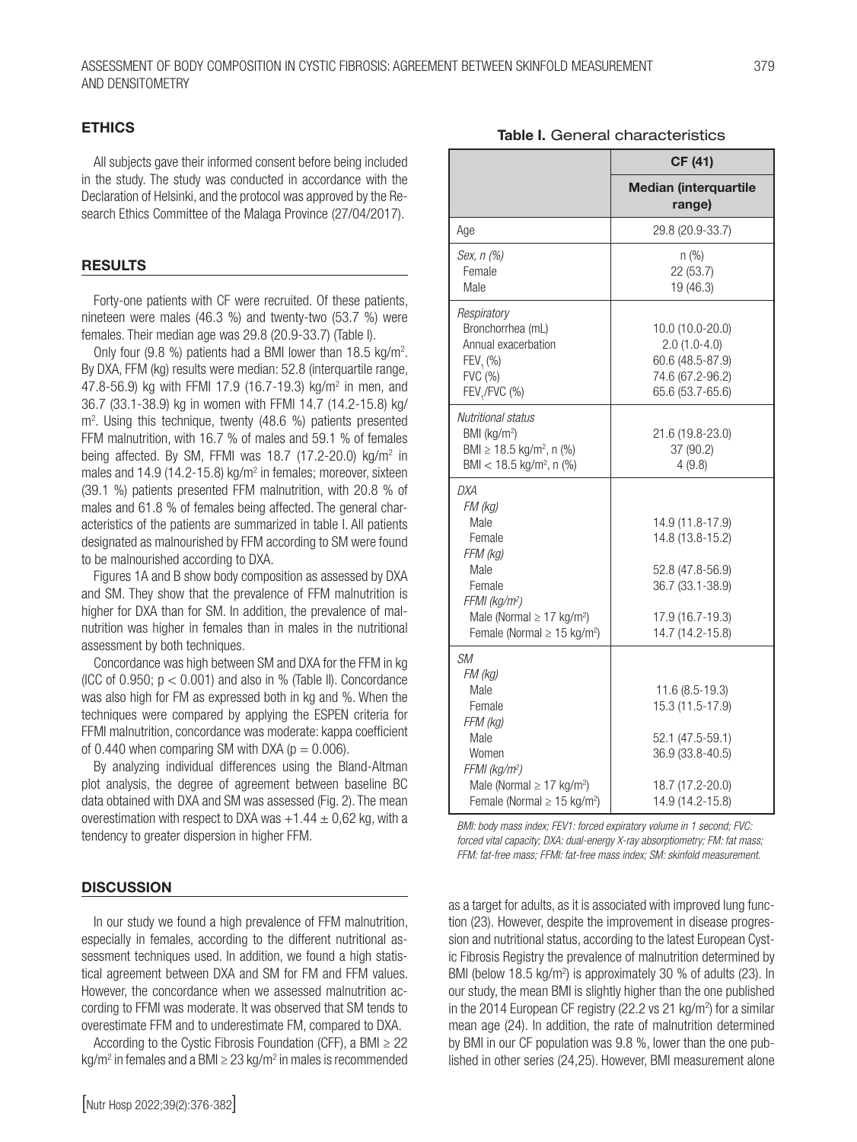## ETHICS

All subjects gave their informed consent before being included in the study. The study was conducted in accordance with the Declaration of Helsinki, and the protocol was approved by the Research Ethics Committee of the Malaga Province (27/04/2017).

#### **RESULTS**

Forty-one patients with CF were recruited. Of these patients, nineteen were males (46.3 %) and twenty-two (53.7 %) were females. Their median age was 29.8 (20.9-33.7) (Table I).

Only four (9.8 %) patients had a BMI lower than 18.5 kg/m<sup>2</sup>. By DXA, FFM (kg) results were median: 52.8 (interquartile range, 47.8-56.9) kg with FFMI 17.9 (16.7-19.3) kg/m2 in men, and 36.7 (33.1-38.9) kg in women with FFMI 14.7 (14.2-15.8) kg/ m2 . Using this technique, twenty (48.6 %) patients presented FFM malnutrition, with 16.7 % of males and 59.1 % of females being affected. By SM, FFMI was 18.7 (17.2-20.0) kg/m<sup>2</sup> in males and 14.9 (14.2-15.8) kg/m<sup>2</sup> in females; moreover, sixteen (39.1 %) patients presented FFM malnutrition, with 20.8 % of males and 61.8 % of females being affected. The general characteristics of the patients are summarized in table I. All patients designated as malnourished by FFM according to SM were found to be malnourished according to DXA.

Figures 1A and B show body composition as assessed by DXA and SM. They show that the prevalence of FFM malnutrition is higher for DXA than for SM. In addition, the prevalence of malnutrition was higher in females than in males in the nutritional assessment by both techniques.

Concordance was high between SM and DXA for the FFM in kg (ICC of 0.950;  $p < 0.001$ ) and also in % (Table II). Concordance was also high for FM as expressed both in kg and %. When the techniques were compared by applying the ESPEN criteria for FFMI malnutrition, concordance was moderate: kappa coefficient of 0.440 when comparing SM with DXA ( $p = 0.006$ ).

By analyzing individual differences using the Bland-Altman plot analysis, the degree of agreement between baseline BC data obtained with DXA and SM was assessed (Fig. 2). The mean overestimation with respect to DXA was  $+1.44 \pm 0.62$  kg, with a tendency to greater dispersion in higher FFM.

#### **DISCUSSION**

In our study we found a high prevalence of FFM malnutrition, especially in females, according to the different nutritional assessment techniques used. In addition, we found a high statistical agreement between DXA and SM for FM and FFM values. However, the concordance when we assessed malnutrition according to FFMI was moderate. It was observed that SM tends to overestimate FFM and to underestimate FM, compared to DXA.

According to the Cystic Fibrosis Foundation (CFF), a BMI  $\geq$  22 kg/m<sup>2</sup> in females and a BMI  $\geq$  23 kg/m<sup>2</sup> in males is recommended

| micalali (lilici yual lilic<br>range) |
|---------------------------------------|
| 29.8 (20.9-33.7)                      |
| n (%)<br>22 (53.7)                    |
| 19 (46.3)                             |
|                                       |
| 10.0 (10.0-20.0)                      |
| $2.0(1.0-4.0)$<br>60.6 (48.5-87.9)    |
| 74.6 (67.2-96.2)                      |
| 65.6 (53.7-65.6)                      |
|                                       |
| 21.6 (19.8-23.0)                      |
| 37 (90.2)                             |
| 4(9.8)                                |
|                                       |
|                                       |
| 14.9 (11.8-17.9)<br>14.8 (13.8-15.2)  |
|                                       |
| 52.8 (47.8-56.9)                      |
| 36.7 (33.1-38.9)                      |
|                                       |
| 17.9 (16.7-19.3)                      |
| 14.7 (14.2-15.8)                      |
|                                       |
|                                       |
| $11.6(8.5-19.3)$                      |
| 15.3 (11.5-17.9)                      |
| 52.1 (47.5-59.1)                      |
| 36.9 (33.8-40.5)                      |
|                                       |
|                                       |

*BMI: body mass index; FEV1: forced expiratory volume in 1 second; FVC: forced vital capacity; DXA: dual-energy X-ray absorptiometry; FM: fat mass; FFM: fat-free mass; FFMI: fat-free mass index; SM: skinfold measurement.*

18.7 (17.2-20.0) 14.9 (14.2-15.8)

Male (Normal  $\geq$  17 kg/m<sup>2</sup>) Female (Normal ≥ 15 kg/m2 )

as a target for adults, as it is associated with improved lung function (23). However, despite the improvement in disease progression and nutritional status, according to the latest European Cystic Fibrosis Registry the prevalence of malnutrition determined by BMI (below 18.5 kg/m<sup>2</sup>) is approximately 30 % of adults (23). In our study, the mean BMI is slightly higher than the one published in the 2014 European CF registry (22.2 vs 21  $kg/m<sup>2</sup>$ ) for a similar mean age (24). In addition, the rate of malnutrition determined by BMI in our CF population was 9.8 %, lower than the one published in other series (24,25). However, BMI measurement alone

#### Table I. General characteristics

CF (41) Median (interquartile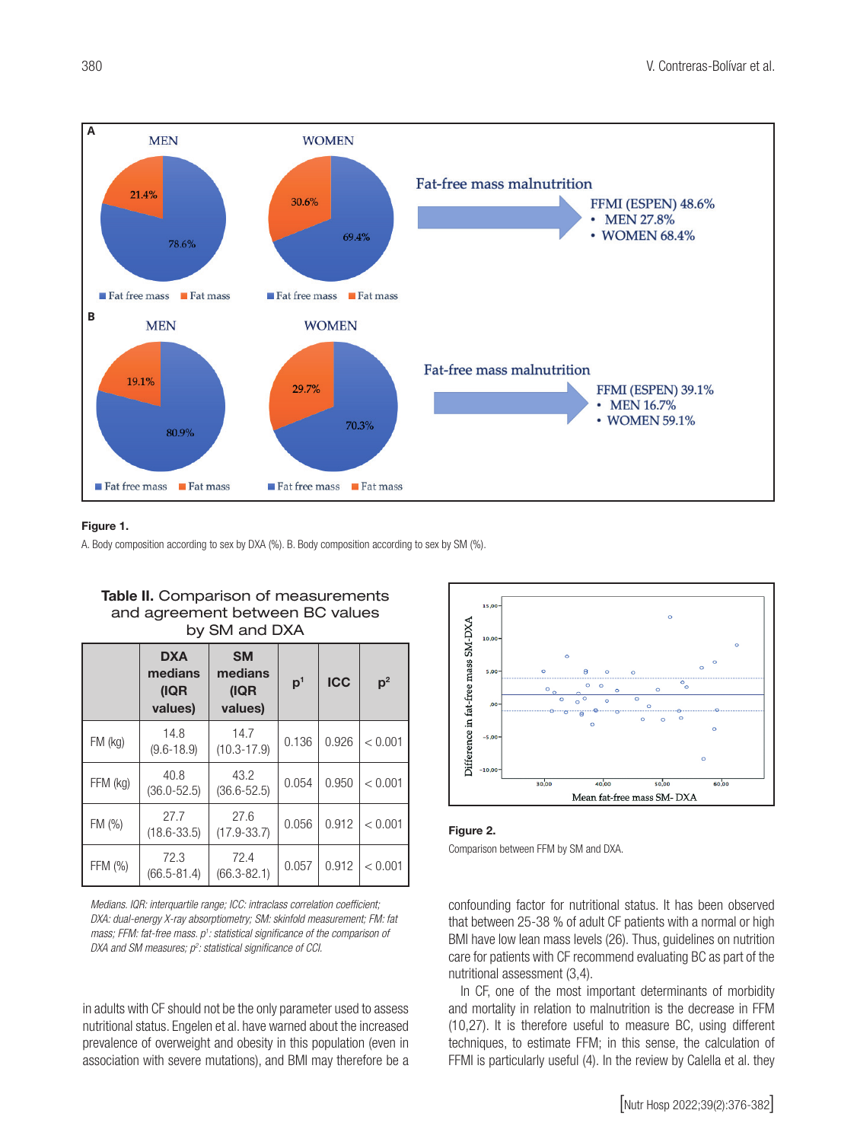

#### Figure 1.

A. Body composition according to sex by DXA (%). B. Body composition according to sex by SM (%).

| DY SIVI AND DAA |                                          |                                         |                |            |                |  |
|-----------------|------------------------------------------|-----------------------------------------|----------------|------------|----------------|--|
|                 | <b>DXA</b><br>medians<br>(IQR<br>values) | <b>SM</b><br>medians<br>(IQR<br>values) | p <sup>1</sup> | <b>ICC</b> | p <sup>2</sup> |  |
| $FM$ (kg)       | 14.8<br>$(9.6 - 18.9)$                   | 14.7<br>$(10.3 - 17.9)$                 | 0.136          | 0.926      | < 0.001        |  |
| FFM (kg)        | 40.8<br>$(36.0 - 52.5)$                  | 43.2<br>$(36.6 - 52.5)$                 | 0.054          | 0.950      | < 0.001        |  |
| FM (%)          | 27.7<br>$(18.6 - 33.5)$                  | 27.6<br>$(17.9 - 33.7)$                 | 0.056          | 0.912      | < 0.001        |  |
| FFM (%)         | 72.3<br>$(66.5 - 81.4)$                  | 72.4<br>$(66.3 - 82.1)$                 | 0.057          | 0.912      | < 0.001        |  |

Table II. Comparison of measurements and agreement between BC values  $b \cdot \cdot$  OM and DXA

*Medians. IQR: interquartile range; ICC: intraclass correlation coefficient; DXA: dual-energy X-ray absorptiometry; SM: skinfold measurement; FM: fat*  mass; FFM: fat-free mass. p<sup>1</sup>: statistical significance of the comparison of DXA and SM measures;  $p^2$ : statistical significance of CCI.

in adults with CF should not be the only parameter used to assess nutritional status. Engelen et al. have warned about the increased prevalence of overweight and obesity in this population (even in association with severe mutations), and BMI may therefore be a



Figure 2. Comparison between FFM by SM and DXA.

confounding factor for nutritional status. It has been observed that between 25-38 % of adult CF patients with a normal or high BMI have low lean mass levels (26). Thus, guidelines on nutrition care for patients with CF recommend evaluating BC as part of the nutritional assessment (3,4).

In CF, one of the most important determinants of morbidity and mortality in relation to malnutrition is the decrease in FFM (10,27). It is therefore useful to measure BC, using different techniques, to estimate FFM; in this sense, the calculation of FFMI is particularly useful (4). In the review by Calella et al. they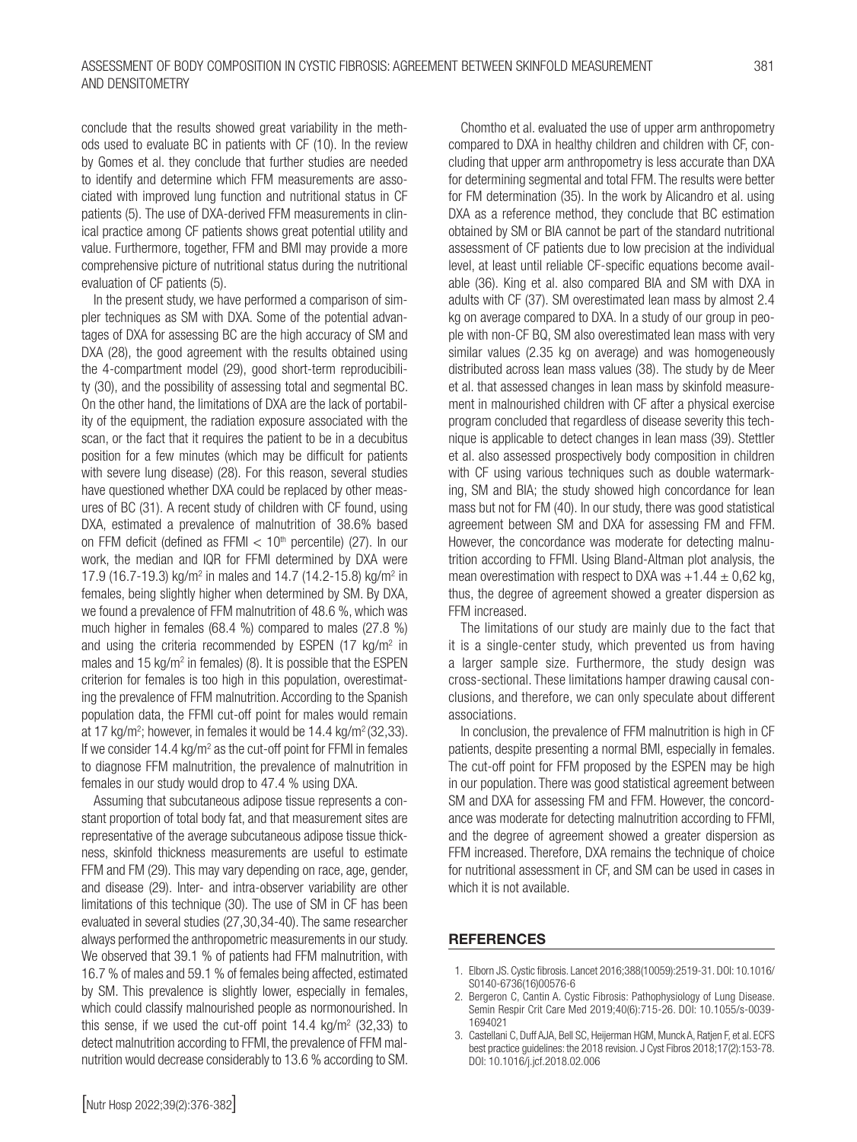conclude that the results showed great variability in the methods used to evaluate BC in patients with CF (10). In the review by Gomes et al. they conclude that further studies are needed to identify and determine which FFM measurements are associated with improved lung function and nutritional status in CF patients (5). The use of DXA-derived FFM measurements in clinical practice among CF patients shows great potential utility and value. Furthermore, together, FFM and BMI may provide a more comprehensive picture of nutritional status during the nutritional evaluation of CF patients (5).

In the present study, we have performed a comparison of simpler techniques as SM with DXA. Some of the potential advantages of DXA for assessing BC are the high accuracy of SM and DXA (28), the good agreement with the results obtained using the 4-compartment model (29), good short-term reproducibility (30), and the possibility of assessing total and segmental BC. On the other hand, the limitations of DXA are the lack of portability of the equipment, the radiation exposure associated with the scan, or the fact that it requires the patient to be in a decubitus position for a few minutes (which may be difficult for patients with severe lung disease) (28). For this reason, several studies have questioned whether DXA could be replaced by other measures of BC (31). A recent study of children with CF found, using DXA, estimated a prevalence of malnutrition of 38.6% based on FFM deficit (defined as FFMI  $< 10<sup>th</sup>$  percentile) (27). In our work, the median and IQR for FFMI determined by DXA were 17.9 (16.7-19.3) kg/m<sup>2</sup> in males and 14.7 (14.2-15.8) kg/m<sup>2</sup> in females, being slightly higher when determined by SM. By DXA, we found a prevalence of FFM malnutrition of 48.6 %, which was much higher in females (68.4 %) compared to males (27.8 %) and using the criteria recommended by ESPEN (17 kg/m<sup>2</sup> in males and 15  $kg/m^2$  in females) (8). It is possible that the ESPEN criterion for females is too high in this population, overestimating the prevalence of FFM malnutrition. According to the Spanish population data, the FFMI cut-off point for males would remain at 17 kg/m<sup>2</sup>; however, in females it would be 14.4 kg/m<sup>2</sup> (32,33). If we consider 14.4 kg/m<sup>2</sup> as the cut-off point for FFMI in females to diagnose FFM malnutrition, the prevalence of malnutrition in females in our study would drop to 47.4 % using DXA.

Assuming that subcutaneous adipose tissue represents a constant proportion of total body fat, and that measurement sites are representative of the average subcutaneous adipose tissue thickness, skinfold thickness measurements are useful to estimate FFM and FM (29). This may vary depending on race, age, gender, and disease (29). Inter- and intra-observer variability are other limitations of this technique (30). The use of SM in CF has been evaluated in several studies (27,30,34-40). The same researcher always performed the anthropometric measurements in our study. We observed that 39.1 % of patients had FFM malnutrition, with 16.7 % of males and 59.1 % of females being affected, estimated by SM. This prevalence is slightly lower, especially in females, which could classify malnourished people as normonourished. In this sense, if we used the cut-off point  $14.4 \text{ kg/m}^2$  (32,33) to detect malnutrition according to FFMI, the prevalence of FFM malnutrition would decrease considerably to 13.6 % according to SM.

Chomtho et al. evaluated the use of upper arm anthropometry compared to DXA in healthy children and children with CF, concluding that upper arm anthropometry is less accurate than DXA for determining segmental and total FFM. The results were better for FM determination (35). In the work by Alicandro et al. using DXA as a reference method, they conclude that BC estimation obtained by SM or BIA cannot be part of the standard nutritional assessment of CF patients due to low precision at the individual level, at least until reliable CF-specific equations become available (36). King et al. also compared BIA and SM with DXA in adults with CF (37). SM overestimated lean mass by almost 2.4 kg on average compared to DXA. In a study of our group in people with non-CF BQ, SM also overestimated lean mass with very similar values (2.35 kg on average) and was homogeneously distributed across lean mass values (38). The study by de Meer et al. that assessed changes in lean mass by skinfold measurement in malnourished children with CF after a physical exercise program concluded that regardless of disease severity this technique is applicable to detect changes in lean mass (39). Stettler et al. also assessed prospectively body composition in children with CF using various techniques such as double watermarking, SM and BIA; the study showed high concordance for lean mass but not for FM (40). In our study, there was good statistical agreement between SM and DXA for assessing FM and FFM. However, the concordance was moderate for detecting malnutrition according to FFMI. Using Bland-Altman plot analysis, the mean overestimation with respect to DXA was  $+1.44 \pm 0.62$  kg, thus, the degree of agreement showed a greater dispersion as FFM increased.

The limitations of our study are mainly due to the fact that it is a single-center study, which prevented us from having a larger sample size. Furthermore, the study design was cross-sectional. These limitations hamper drawing causal conclusions, and therefore, we can only speculate about different associations.

In conclusion, the prevalence of FFM malnutrition is high in CF patients, despite presenting a normal BMI, especially in females. The cut-off point for FFM proposed by the ESPEN may be high in our population. There was good statistical agreement between SM and DXA for assessing FM and FFM. However, the concordance was moderate for detecting malnutrition according to FFMI, and the degree of agreement showed a greater dispersion as FFM increased. Therefore, DXA remains the technique of choice for nutritional assessment in CF, and SM can be used in cases in which it is not available.

#### **REFERENCES**

- 1. Elborn JS. Cystic fibrosis. Lancet 2016;388(10059):2519-31. DOI: 10.1016/ S0140-6736(16)00576-6
- 2. Bergeron C, Cantin A. Cystic Fibrosis: Pathophysiology of Lung Disease. Semin Respir Crit Care Med 2019;40(6):715-26. DOI: 10.1055/s-0039- 1694021
- 3. Castellani C, Duff AJA, Bell SC, Heijerman HGM, Munck A, Ratjen F, et al. ECFS best practice guidelines: the 2018 revision. J Cyst Fibros 2018;17(2):153-78. DOI: 10.1016/j.jcf.2018.02.006